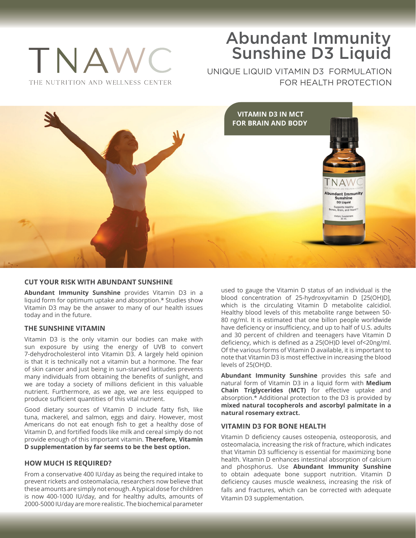# Abundant Immunity Sunshine D3 Liquid

UNIQUE LIQUID VITAMIN D3 FORMULATION FOR HEALTH PROTECTION



## **CUT YOUR RISK WITH ABUNDANT SUNSHINE**

**Abundant Immunity Sunshine** provides Vitamin D3 in a liquid form for optimum uptake and absorption.\* Studies show Vitamin D3 may be the answer to many of our health issues today and in the future.

## **THE SUNSHINE VITAMIN**

TNA

THE NUTRITION AND WELLNESS CENTER

Vitamin D3 is the only vitamin our bodies can make with sun exposure by using the energy of UVB to convert 7-dehydrocholesterol into Vitamin D3. A largely held opinion is that it is technically not a vitamin but a hormone. The fear of skin cancer and just being in sun-starved latitudes prevents many individuals from obtaining the benefits of sunlight, and we are today a society of millions deficient in this valuable nutrient. Furthermore, as we age, we are less equipped to produce sufficient quantities of this vital nutrient.

Good dietary sources of Vitamin D include fatty fish, like tuna, mackerel, and salmon, eggs and dairy. However, most Americans do not eat enough fish to get a healthy dose of Vitamin D, and fortified foods like milk and cereal simply do not provide enough of this important vitamin. **Therefore, Vitamin D supplementation by far seems to be the best option.**

#### **HOW MUCH IS REQUIRED?**

From a conservative 400 IU/day as being the required intake to prevent rickets and osteomalacia, researchers now believe that these amounts are simply not enough. A typical dose for children is now 400-1000 IU/day, and for healthy adults, amounts of 2000-5000 IU/day are more realistic. The biochemical parameter

used to gauge the Vitamin D status of an individual is the blood concentration of 25-hydroxyvitamin D [25(OH)D], which is the circulating Vitamin D metabolite calcidiol. Healthy blood levels of this metabolite range between 50- 80 ng/ml. It is estimated that one billon people worldwide have deficiency or insufficiency, and up to half of U.S. adults and 30 percent of children and teenagers have Vitamin D deficiency, which is defined as a 25(OH)D level of<20ng/ml. Of the various forms of Vitamin D available, it is important to note that Vitamin D3 is most effective in increasing the blood levels of 25(OH)D.

**Abundant Immunity Sunshine** provides this safe and natural form of Vitamin D3 in a liquid form with **Medium Chain Triglycerides (MCT)** for effective uptake and absorption.\* Additional protection to the D3 is provided by **mixed natural tocopherols and ascorbyl palmitate in a natural rosemary extract.**

#### **VITAMIN D3 FOR BONE HEALTH**

Vitamin D deficiency causes osteopenia, osteoporosis, and osteomalacia, increasing the risk of fracture, which indicates that Vitamin D3 sufficiency is essential for maximizing bone health. Vitamin D enhances intestinal absorption of calcium and phosphorus. Use **Abundant Immunity Sunshine** to obtain adequate bone support nutrition. Vitamin D deficiency causes muscle weakness, increasing the risk of falls and fractures, which can be corrected with adequate Vitamin D3 supplementation.